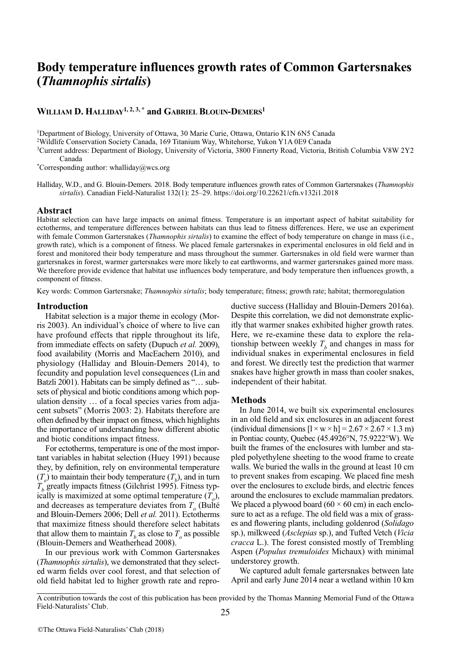# **Body temperature influences growth rates of Common Gartersnakes (***Thamnophis sirtalis***)**

# **WILLIAM D. HALLIDAY1, 2, 3, \* and GABRIEL BLOUIN-DEMERS1**

<sup>1</sup>Department of Biology, University of Ottawa, 30 Marie Curie, Ottawa, Ontario K1N 6N5 Canada

2Wildlife Conservation Society Canada, 169 Titanium Way, Whitehorse, Yukon Y1A 0E9 Canada

3Current address: Department of Biology, University of Victoria, 3800 Finnerty Road, Victoria, British Columbia V8W 2Y2 Canada

\*Corresponding author: whalliday@wcs.org

Halliday, W.D., and G. Blouin-Demers. 2018. Body temperature influences growth rates of Common Gartersnakes (*Thamnophis sirtalis*). Canadian Field-Naturalist 132(1): 25–29. <https://doi.org/10.22621/cfn.v132i1.2018>

#### **Abstract**

Habitat selection can have large impacts on animal fitness. Temperature is an important aspect of habitat suitability for ectotherms, and temperature differences between habitats can thus lead to fitness differences. Here, we use an experiment with female Common Gartersnakes (*Thamnophis sirtalis*) to examine the effect of body temperature on change in mass (i.e., growth rate), which is a component of fitness. We placed female gartersnakes in experimental enclosures in old field and in forest and monitored their body temperature and mass throughout the summer. Gartersnakes in old field were warmer than gartersnakes in forest, warmer gartersnakes were more likely to eat earthworms, and warmer gartersnakes gained more mass. We therefore provide evidence that habitat use influences body temperature, and body temperature then influences growth, a component of fitness.

Key words: Common Gartersnake; *Thamnophis sirtalis*; body temperature; fitness; growth rate; habitat; thermoregulation

#### **Introduction**

Habitat selection is a major theme in ecology (Morris 2003). An individual's choice of where to live can have profound effects that ripple throughout its life, from immediate effects on safety (Dupuch *et al.* 2009), food availability (Morris and MacEachern 2010), and physiology (Halliday and Blouin-Demers 2014), to fecundity and population level consequences (Lin and Batzli 2001). Habitats can be simply defined as "… subsets of physical and biotic conditions among which population density … of a focal species varies from adjacent subsets" (Morris 2003: 2). Habitats therefore are often defined by their impact on fitness, which highlights the importance of understanding how different abiotic and biotic conditions impact fitness.

For ectotherms, temperature is one of the most important variables in habitat selection (Huey 1991) because they, by definition, rely on environmental temperature  $(T_e)$  to maintain their body temperature  $(T_b)$ , and in turn  $T<sub>b</sub>$  greatly impacts fitness (Gilchrist 1995). Fitness typically is maximized at some optimal temperature  $(T_o)$ , and decreases as temperature deviates from  $T<sub>o</sub>$  (Bulté and Blouin-Demers 2006; Dell *et al.* 2011). Ectotherms that maximize fitness should therefore select habitats that allow them to maintain  $T<sub>b</sub>$  as close to  $T<sub>a</sub>$  as possible (Blouin-Demers and Weatherhead 2008).

In our previous work with Common Gartersnakes (*Thamnophis sirtalis*), we demonstrated that they selected warm fields over cool forest, and that selection of old field habitat led to higher growth rate and reproductive success (Halliday and Blouin-Demers 2016a). Despite this correlation, we did not demonstrate explicitly that warmer snakes exhibited higher growth rates. Here, we re-examine these data to explore the relationship between weekly  $T<sub>b</sub>$  and changes in mass for individual snakes in experimental enclosures in field and forest. We directly test the prediction that warmer snakes have higher growth in mass than cooler snakes, independent of their habitat.

#### **Methods**

In June 2014, we built six experimental enclosures in an old field and six enclosures in an adjacent forest (individual dimensions  $[1 \times w \times h] = 2.67 \times 2.67 \times 1.3$  m) in Pontiac county, Quebec (45.4926°N, 75.9222°W). We built the frames of the enclosures with lumber and stapled polyethylene sheeting to the wood frame to create walls. We buried the walls in the ground at least 10 cm to prevent snakes from escaping. We placed fine mesh over the enclosures to exclude birds, and electric fences around the enclosures to exclude mammalian predators. We placed a plywood board  $(60 \times 60 \text{ cm})$  in each enclosure to act as a refuge. The old field was a mix of grasses and flowering plants, including goldenrod (*Solidago* sp.), milkweed (*Asclepias* sp.), and Tufted Vetch (*Vicia cracca* L.). The forest consisted mostly of Trembling Aspen (*Populus tremuloides* Michaux) with minimal understorey growth.

We captured adult female gartersnakes between late April and early June 2014 near a wetland within 10 km

A contribution towards the cost of this publication has been provided by the Thomas Manning Memorial Fund of the Ottawa Field-Naturalists' Club.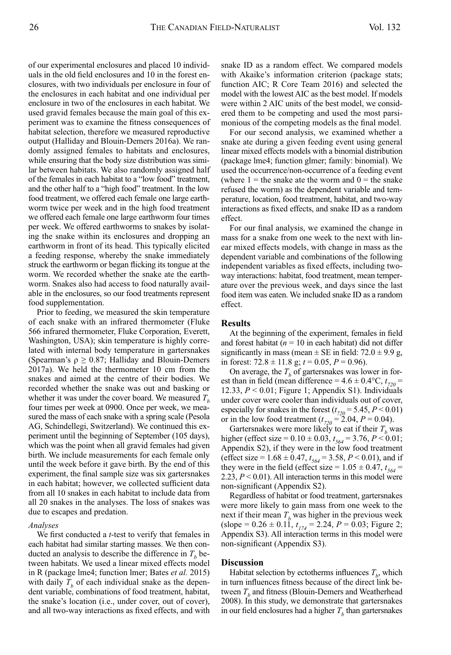of our experimental enclosures and placed 10 individuals in the old field enclosures and 10 in the forest enclosures, with two individuals per enclosure in four of the enclosures in each habitat and one individual per enclosure in two of the enclosures in each habitat. We used gravid females because the main goal of this experiment was to examine the fitness consequences of habitat selection, therefore we measured reproductive output (Halliday and Blouin-Demers 2016a). We randomly assigned females to habitats and enclosures, while ensuring that the body size distribution was similar between habitats. We also randomly assigned half of the females in each habitat to a "low food" treatment, and the other half to a "high food" treatment. In the low food treatment, we offered each female one large earthworm twice per week and in the high food treatment we offered each female one large earthworm four times per week. We offered earthworms to snakes by isolating the snake within its enclosures and dropping an earthworm in front of its head. This typically elicited a feeding response, whereby the snake immediately struck the earthworm or began flicking its tongue at the worm. We recorded whether the snake ate the earthworm. Snakes also had access to food naturally available in the enclosures, so our food treatments represent food supplementation.

Prior to feeding, we measured the skin temperature of each snake with an infrared thermometer (Fluke 566 infrared thermometer, Fluke Corporation, Everett, Washington, USA); skin temperature is highly correlated with internal body temperature in gartersnakes (Spearman's  $\rho \ge 0.87$ ; Halliday and Blouin-Demers 2017a). We held the thermometer 10 cm from the snakes and aimed at the centre of their bodies. We recorded whether the snake was out and basking or whether it was under the cover board. We measured  $T<sub>b</sub>$ four times per week at 0900. Once per week, we measured the mass of each snake with a spring scale (Pesola AG, Schindellegi, Switzerland). We continued this experiment until the beginning of September (105 days), which was the point when all gravid females had given birth. We include measurements for each female only until the week before it gave birth. By the end of this experiment, the final sample size was six gartersnakes in each habitat; however, we collected sufficient data from all 10 snakes in each habitat to include data from all 20 snakes in the analyses. The loss of snakes was due to escapes and predation.

#### *Analyses*

We first conducted a *t*-test to verify that females in each habitat had similar starting masses. We then conducted an analysis to describe the difference in  $T<sub>k</sub>$  between habitats. We used a linear mixed effects model in R (package lme4; function lmer; Bates *et al.* 2015) with daily  $T<sub>b</sub>$  of each individual snake as the dependent variable, combinations of food treatment, habitat, the snake's location (i.e., under cover, out of cover), and all two-way interactions as fixed effects, and with snake ID as a random effect. We compared models with Akaike's information criterion (package stats; function AIC; R Core Team 2016) and selected the model with the lowest AIC as the best model. If models were within 2 AIC units of the best model, we considered them to be competing and used the most parsimonious of the competing models as the final model.

For our second analysis, we examined whether a snake ate during a given feeding event using general linear mixed effects models with a binomial distribution (package lme4; function glmer; family: binomial). We used the occurrence/non-occurrence of a feeding event (where  $1 =$  the snake ate the worm and  $0 =$  the snake refused the worm) as the dependent variable and temperature, location, food treatment, habitat, and two-way interactions as fixed effects, and snake ID as a random effect.

For our final analysis, we examined the change in mass for a snake from one week to the next with linear mixed effects models, with change in mass as the dependent variable and combinations of the following independent variables as fixed effects, including twoway interactions: habitat, food treatment, mean temperature over the previous week, and days since the last food item was eaten. We included snake ID as a random effect.

#### **Results**

At the beginning of the experiment, females in field and forest habitat  $(n = 10$  in each habitat) did not differ significantly in mass (mean  $\pm$  SE in field: 72.0  $\pm$  9.9 g, in forest:  $72.8 \pm 11.8$  g;  $t = 0.05$ ,  $P = 0.96$ ).

On average, the  $T_b$  of gartersnakes was lower in forest than in field (mean difference =  $4.6 \pm 0.4$  °C,  $t_{720}$  = 12.33, *P* < 0.01; Figure 1; Appendix S1). Individuals under cover were cooler than individuals out of cover, especially for snakes in the forest  $(t_{720} = 5.45, P \le 0.01)$ or in the low food treatment  $(t_{720} = 2.04, P = 0.04)$ .

Gartersnakes were more likely to eat if their  $T<sub>b</sub>$  was higher (effect size =  $0.10 \pm 0.03$ ,  $t_{564} = 3.76$ ,  $P < 0.01$ ; Appendix S2), if they were in the low food treatment (effect size =  $1.68 \pm 0.47$ ,  $t_{564} = 3.58$ ,  $P < 0.01$ ), and if they were in the field (effect size =  $1.05 \pm 0.47$ ,  $t_{564}$  = 2.23,  $P < 0.01$ ). All interaction terms in this model were non-significant (Appendix S2).

Regardless of habitat or food treatment, gartersnakes were more likely to gain mass from one week to the next if their mean  $T<sub>b</sub>$  was higher in the previous week  $(slope = 0.26 \pm 0.11, t_{174} = 2.24, P = 0.03; Figure 2;$ Appendix S3). All interaction terms in this model were non-significant (Appendix S3).

#### **Discussion**

Habitat selection by ectotherms influences  $T_b$ , which in turn influences fitness because of the direct link between  $T<sub>k</sub>$  and fitness (Blouin-Demers and Weatherhead 2008). In this study, we demonstrate that gartersnakes in our field enclosures had a higher  $T<sub>b</sub>$  than gartersnakes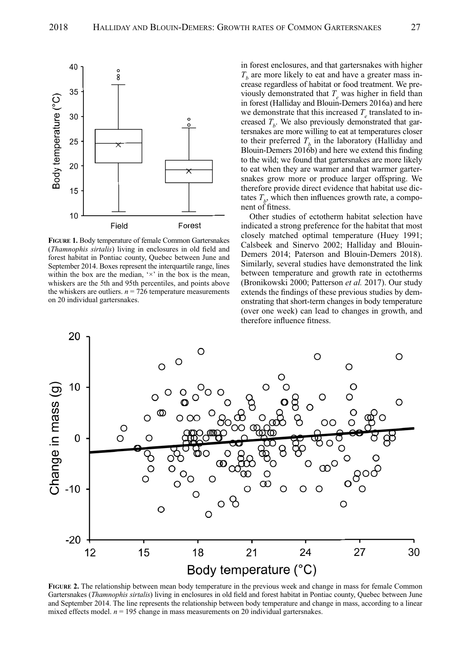

**FIGURE 1.** Body temperature of female Common Gartersnakes (*Thamnophis sirtalis*) living in enclosures in old field and forest habitat in Pontiac county, Quebec between June and September 2014. Boxes represent the interquartile range, lines within the box are the median,  $\forall$  in the box is the mean, whiskers are the 5th and 95th percentiles, and points above the whiskers are outliers.  $n = 726$  temperature measurements on 20 individual gartersnakes.

in forest enclosures, and that gartersnakes with higher  $T<sub>b</sub>$  are more likely to eat and have a greater mass increase regardless of habitat or food treatment. We previously demonstrated that  $T_e$  was higher in field than in forest (Halliday and Blouin-Demers 2016a) and here we demonstrate that this increased  $T_{\text{e}}$  translated to increased  $T_b$ . We also previously demonstrated that gartersnakes are more willing to eat at temperatures closer to their preferred  $T<sub>k</sub>$  in the laboratory (Halliday and Blouin-Demers 2016b) and here we extend this finding to the wild; we found that gartersnakes are more likely to eat when they are warmer and that warmer gartersnakes grow more or produce larger offspring. We therefore provide direct evidence that habitat use dictates  $T<sub>b</sub>$ , which then influences growth rate, a component of fitness.

Other studies of ectotherm habitat selection have indicated a strong preference for the habitat that most closely matched optimal temperature (Huey 1991; Calsbeek and Sinervo 2002; Halliday and Blouin-Demers 2014; Paterson and Blouin-Demers 2018). Similarly, several studies have demonstrated the link between temperature and growth rate in ectotherms (Bronikowski 2000; Patterson *et al.* 2017). Our study extends the findings of these previous studies by demonstrating that short-term changes in body temperature (over one week) can lead to changes in growth, and therefore influence fitness.



**FIGURE 2.** The relationship between mean body temperature in the previous week and change in mass for female Common Gartersnakes (*Thamnophis sirtalis*) living in enclosures in old field and forest habitat in Pontiac county, Quebec between June and September 2014. The line represents the relationship between body temperature and change in mass, according to a linear mixed effects model.  $n = 195$  change in mass measurements on 20 individual gartersnakes.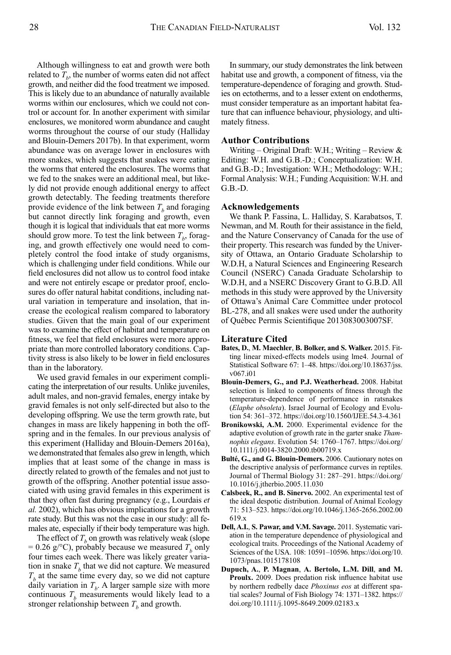Although willingness to eat and growth were both related to  $T_b$ , the number of worms eaten did not affect growth, and neither did the food treatment we imposed. This is likely due to an abundance of naturally available worms within our enclosures, which we could not control or account for. In another experiment with similar enclosures, we monitored worm abundance and caught worms throughout the course of our study (Halliday and Blouin-Demers 2017b). In that experiment, worm abundance was on average lower in enclosures with more snakes, which suggests that snakes were eating the worms that entered the enclosures. The worms that we fed to the snakes were an additional meal, but likely did not provide enough additional energy to affect growth detectably. The feeding treatments therefore provide evidence of the link between  $T<sub>b</sub>$  and foraging but cannot directly link foraging and growth, even though it is logical that individuals that eat more worms should grow more. To test the link between  $T<sub>b</sub>$ , foraging, and growth effectively one would need to completely control the food intake of study organisms, which is challenging under field conditions. While our field enclosures did not allow us to control food intake and were not entirely escape or predator proof, enclosures do offer natural habitat conditions, including natural variation in temperature and insolation, that increase the ecological realism compared to laboratory studies. Given that the main goal of our experiment was to examine the effect of habitat and temperature on fitness, we feel that field enclosures were more appropriate than more controlled laboratory conditions. Captivity stress is also likely to be lower in field enclosures than in the laboratory.

We used gravid females in our experiment complicating the interpretation of our results. Unlike juveniles, adult males, and non-gravid females, energy intake by gravid females is not only self-directed but also to the developing offspring. We use the term growth rate, but changes in mass are likely happening in both the offspring and in the females. In our previous analysis of this experiment (Halliday and Blouin-Demers 2016a), we demonstrated that females also grew in length, which implies that at least some of the change in mass is directly related to growth of the females and not just to growth of the offspring. Another potential issue associated with using gravid females in this experiment is that they often fast during pregnancy (e.g., Lourdais *et al.* 2002), which has obvious implications for a growth rate study. But this was not the case in our study: all females ate, especially if their body temperature was high.

The effect of  $T_b$  on growth was relatively weak (slope  $= 0.26$  g/<sup>o</sup>C), probably because we measured  $T<sub>b</sub>$  only four times each week. There was likely greater variation in snake  $T<sub>b</sub>$  that we did not capture. We measured  $T<sub>b</sub>$  at the same time every day, so we did not capture daily variation in  $T_b$ . A larger sample size with more continuous  $T_b$  measurements would likely lead to a stronger relationship between  $T<sub>b</sub>$  and growth.

In summary, our study demonstrates the link between habitat use and growth, a component of fitness, via the temperature-dependence of foraging and growth. Studies on ectotherms, and to a lesser extent on endotherms, must consider temperature as an important habitat feature that can influence behaviour, physiology, and ultimately fitness.

# **Author Contributions**

Writing – Original Draft: W.H.; Writing – Review & Editing: W.H. and G.B.-D.; Conceptualization: W.H. and G.B.-D.; Investigation: W.H.; Methodology: W.H.; Formal Analysis: W.H.; Funding Acquisition: W.H. and G.B.-D.

#### **Acknowledgements**

We thank P. Fassina, L. Halliday, S. Karabatsos, T. Newman, and M. Routh for their assistance in the field, and the Nature Conservancy of Canada for the use of their property. This research was funded by the University of Ottawa, an Ontario Graduate Scholarship to W.D.H, a Natural Sciences and Engineering Research Council (NSERC) Canada Graduate Scholarship to W.D.H, and a NSERC Discovery Grant to G.B.D. All methods in this study were approved by the University of Ottawa's Animal Care Committee under protocol BL-278, and all snakes were used under the authority of Québec Permis Scientifique 2013083003007SF.

### **Literature Cited**

- **Bates, D.**, **M. Maechler**, **B. Bolker, and S. Walker.** 2015. Fitting linear mixed-effects models using lme4. Journal of Statistical Software 67: 1–48. [https://doi.org/10.18637/jss.](https://doi.org/10.18637/jss.v067.i01) [v067.i01](https://doi.org/10.18637/jss.v067.i01)
- **Blouin-Demers, G., and P.J. Weatherhead.** 2008. Habitat selection is linked to components of fitness through the temperature-dependence of performance in ratsnakes (*Elaphe obsoleta*). Israel Journal of Ecology and Evolution 54: 361–372. <https://doi.org/10.1560/IJEE.54.3-4.361>
- **Bronikowski, A.M.** 2000. Experimental evidence for the adaptive evolution of growth rate in the garter snake *Thamnophis elegans*. Evolution 54: 1760–1767. [https://doi.org/](https://doi.org/10.1111/j.0014-3820.2000.tb00719.x) [10.1111/j.0014-3820.2000.tb00719.x](https://doi.org/10.1111/j.0014-3820.2000.tb00719.x)
- **Bulté, G., and G. Blouin-Demers.** 2006. Cautionary notes on the descriptive analysis of performance curves in reptiles. Journal of Thermal Biology 31: 287–291. [https://doi.org/](https://doi.org/10.1016/j.jtherbio.2005.11.030) [10.1016/j.jtherbio.2005.11.030](https://doi.org/10.1016/j.jtherbio.2005.11.030)
- **Calsbeek, R., and B. Sinervo.** 2002. An experimental test of the ideal despotic distribution. Journal of Animal Ecology 71: 513–523. [https://doi.org/10.1046/j.1365-2656.2002.00](https://doi.org/10.1046/j.1365-2656.2002.00619.x) [619.x](https://doi.org/10.1046/j.1365-2656.2002.00619.x)
- **Dell, A.I.**, **S. Pawar, and V.M. Savage.** 2011. Systematic variation in the temperature dependence of physiological and ecological traits. Proceedings of the National Academy of Sciences of the USA. 108: 10591–10596. [https://doi.org/10.](https://doi.org/10.1073/pnas.1015178108) [1073/pnas.1015178108](https://doi.org/10.1073/pnas.1015178108)
- **Dupuch, A.**, **P. Magnan**, **A. Bertolo, L.M. Dill**, **and M. Proulx.** 2009. Does predation risk influence habitat use by northern redbelly dace *Phoxinus eos* at different spatial scales? Journal of Fish Biology 74: 1371–1382. [https://](https://doi.org/10.1111/j.1095-8649.2009.02183.x) [doi.org/10.1111/j.1095-8649.2009.02183.x](https://doi.org/10.1111/j.1095-8649.2009.02183.x)